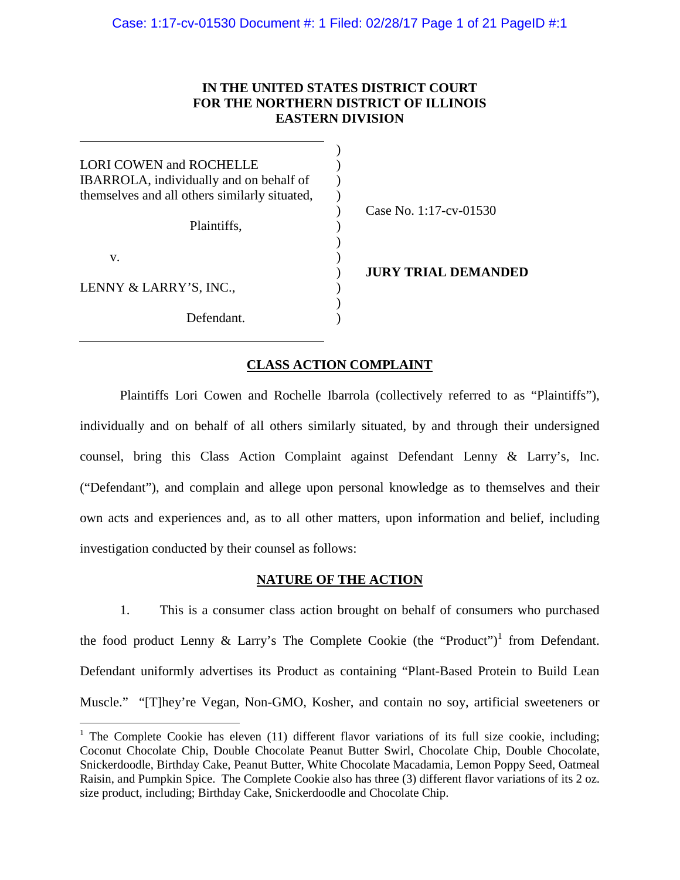## **IN THE UNITED STATES DISTRICT COURT FOR THE NORTHERN DISTRICT OF ILLINOIS EASTERN DIVISION**

| LORI COWEN and ROCHELLE<br><b>IBARROLA</b> , individually and on behalf of<br>themselves and all others similarly situated, |  |  |  |  |
|-----------------------------------------------------------------------------------------------------------------------------|--|--|--|--|
| Plaintiffs,<br>V.                                                                                                           |  |  |  |  |
|                                                                                                                             |  |  |  |  |
| LENNY & LARRY'S, INC.,                                                                                                      |  |  |  |  |
| Defendant.                                                                                                                  |  |  |  |  |

Case No. 1:17-cv-01530

**JURY TRIAL DEMANDED**

## **CLASS ACTION COMPLAINT**

Plaintiffs Lori Cowen and Rochelle Ibarrola (collectively referred to as "Plaintiffs"), individually and on behalf of all others similarly situated, by and through their undersigned counsel, bring this Class Action Complaint against Defendant Lenny & Larry's, Inc. ("Defendant"), and complain and allege upon personal knowledge as to themselves and their own acts and experiences and, as to all other matters, upon information and belief, including investigation conducted by their counsel as follows:

### **NATURE OF THE ACTION**

1. This is a consumer class action brought on behalf of consumers who purchased the food product Lenny & Larry's The Complete Cookie (the "Product")<sup>1</sup> from Defendant. Defendant uniformly advertises its Product as containing "Plant-Based Protein to Build Lean Muscle." "[T]hey're Vegan, Non-GMO, Kosher, and contain no soy, artificial sweeteners or

<sup>&</sup>lt;sup>1</sup> The Complete Cookie has eleven (11) different flavor variations of its full size cookie, including; Coconut Chocolate Chip, Double Chocolate Peanut Butter Swirl, Chocolate Chip, Double Chocolate, Snickerdoodle, Birthday Cake, Peanut Butter, White Chocolate Macadamia, Lemon Poppy Seed, Oatmeal Raisin, and Pumpkin Spice. The Complete Cookie also has three (3) different flavor variations of its 2 oz. size product, including; Birthday Cake, Snickerdoodle and Chocolate Chip.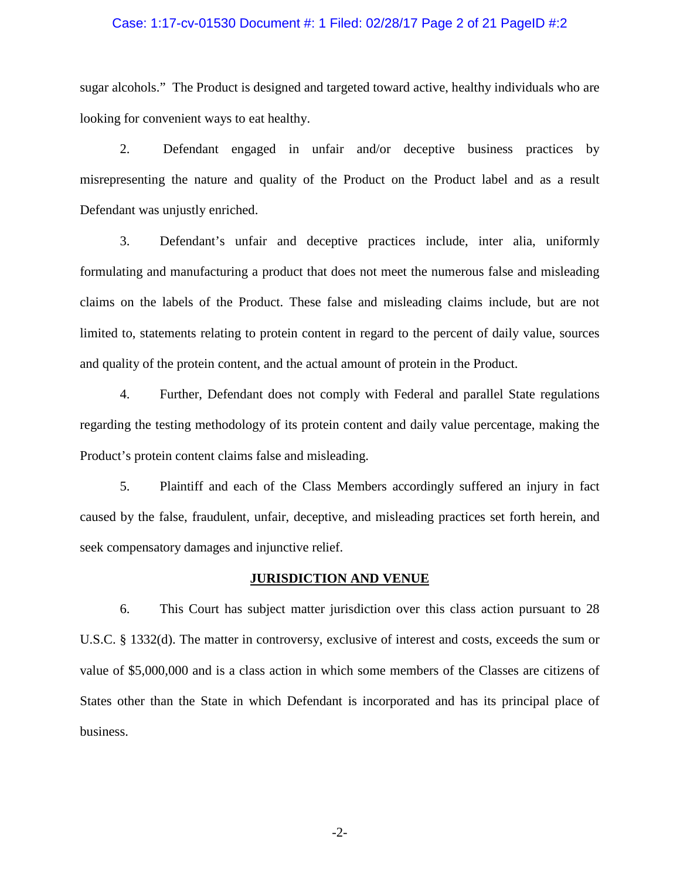### Case: 1:17-cv-01530 Document #: 1 Filed: 02/28/17 Page 2 of 21 PageID #:2

sugar alcohols." The Product is designed and targeted toward active, healthy individuals who are looking for convenient ways to eat healthy.

2. Defendant engaged in unfair and/or deceptive business practices by misrepresenting the nature and quality of the Product on the Product label and as a result Defendant was unjustly enriched.

3. Defendant's unfair and deceptive practices include, inter alia, uniformly formulating and manufacturing a product that does not meet the numerous false and misleading claims on the labels of the Product. These false and misleading claims include, but are not limited to, statements relating to protein content in regard to the percent of daily value, sources and quality of the protein content, and the actual amount of protein in the Product.

4. Further, Defendant does not comply with Federal and parallel State regulations regarding the testing methodology of its protein content and daily value percentage, making the Product's protein content claims false and misleading.

5. Plaintiff and each of the Class Members accordingly suffered an injury in fact caused by the false, fraudulent, unfair, deceptive, and misleading practices set forth herein, and seek compensatory damages and injunctive relief.

### **JURISDICTION AND VENUE**

6. This Court has subject matter jurisdiction over this class action pursuant to 28 U.S.C. § 1332(d). The matter in controversy, exclusive of interest and costs, exceeds the sum or value of \$5,000,000 and is a class action in which some members of the Classes are citizens of States other than the State in which Defendant is incorporated and has its principal place of business.

-2-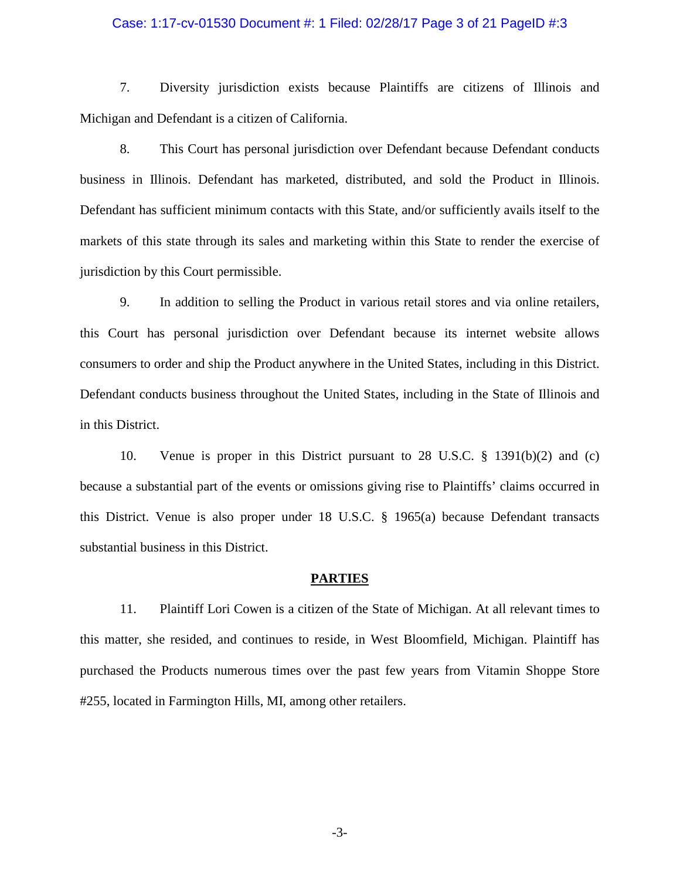### Case: 1:17-cv-01530 Document #: 1 Filed: 02/28/17 Page 3 of 21 PageID #:3

7. Diversity jurisdiction exists because Plaintiffs are citizens of Illinois and Michigan and Defendant is a citizen of California.

8. This Court has personal jurisdiction over Defendant because Defendant conducts business in Illinois. Defendant has marketed, distributed, and sold the Product in Illinois. Defendant has sufficient minimum contacts with this State, and/or sufficiently avails itself to the markets of this state through its sales and marketing within this State to render the exercise of jurisdiction by this Court permissible.

9. In addition to selling the Product in various retail stores and via online retailers, this Court has personal jurisdiction over Defendant because its internet website allows consumers to order and ship the Product anywhere in the United States, including in this District. Defendant conducts business throughout the United States, including in the State of Illinois and in this District.

10. Venue is proper in this District pursuant to 28 U.S.C. § 1391(b)(2) and (c) because a substantial part of the events or omissions giving rise to Plaintiffs' claims occurred in this District. Venue is also proper under 18 U.S.C. § 1965(a) because Defendant transacts substantial business in this District.

### **PARTIES**

11. Plaintiff Lori Cowen is a citizen of the State of Michigan. At all relevant times to this matter, she resided, and continues to reside, in West Bloomfield, Michigan. Plaintiff has purchased the Products numerous times over the past few years from Vitamin Shoppe Store #255, located in Farmington Hills, MI, among other retailers.

-3-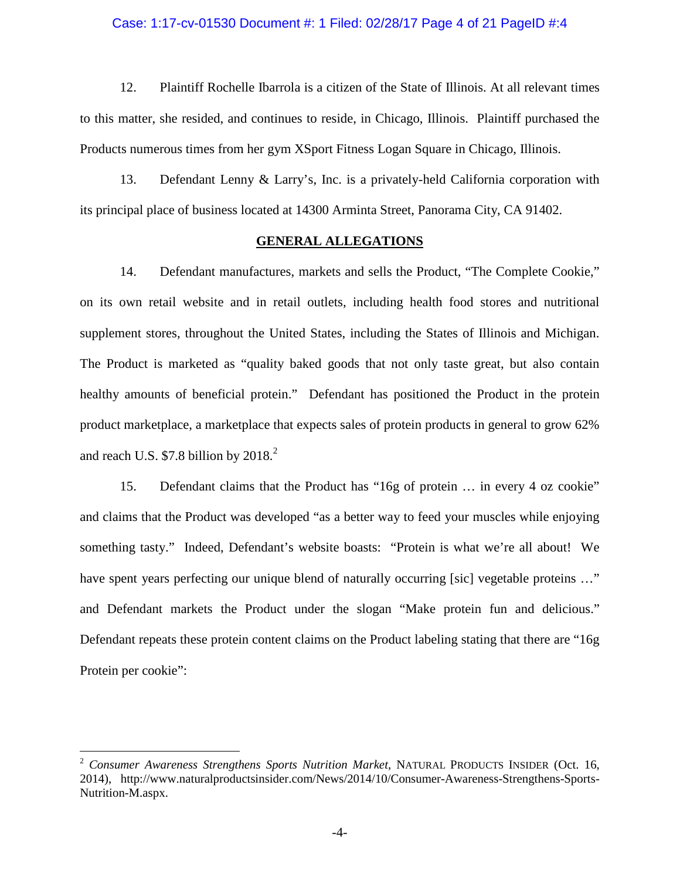### Case: 1:17-cv-01530 Document #: 1 Filed: 02/28/17 Page 4 of 21 PageID #:4

12. Plaintiff Rochelle Ibarrola is a citizen of the State of Illinois. At all relevant times to this matter, she resided, and continues to reside, in Chicago, Illinois. Plaintiff purchased the Products numerous times from her gym XSport Fitness Logan Square in Chicago, Illinois.

13. Defendant Lenny & Larry's, Inc. is a privately-held California corporation with its principal place of business located at 14300 Arminta Street, Panorama City, CA 91402.

### **GENERAL ALLEGATIONS**

14. Defendant manufactures, markets and sells the Product, "The Complete Cookie," on its own retail website and in retail outlets, including health food stores and nutritional supplement stores, throughout the United States, including the States of Illinois and Michigan. The Product is marketed as "quality baked goods that not only taste great, but also contain healthy amounts of beneficial protein." Defendant has positioned the Product in the protein product marketplace, a marketplace that expects sales of protein products in general to grow 62% and reach U.S.  $$7.8$  billion by  $2018.<sup>2</sup>$ 

15. Defendant claims that the Product has "16g of protein … in every 4 oz cookie" and claims that the Product was developed "as a better way to feed your muscles while enjoying something tasty." Indeed, Defendant's website boasts: "Protein is what we're all about! We have spent years perfecting our unique blend of naturally occurring [sic] vegetable proteins ..." and Defendant markets the Product under the slogan "Make protein fun and delicious." Defendant repeats these protein content claims on the Product labeling stating that there are "16g Protein per cookie":

<sup>2</sup> *Consumer Awareness Strengthens Sports Nutrition Market*, NATURAL PRODUCTS INSIDER (Oct. 16, 2014), http://www.naturalproductsinsider.com/News/2014/10/Consumer-Awareness-Strengthens-Sports-Nutrition-M.aspx.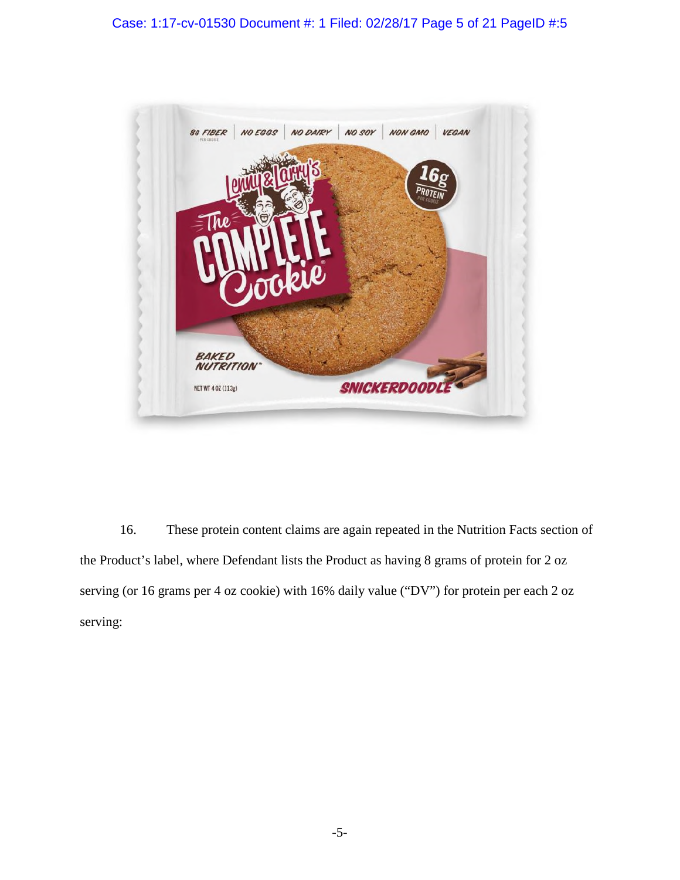

16. These protein content claims are again repeated in the Nutrition Facts section of the Product's label, where Defendant lists the Product as having 8 grams of protein for 2 oz serving (or 16 grams per 4 oz cookie) with 16% daily value ("DV") for protein per each 2 oz serving: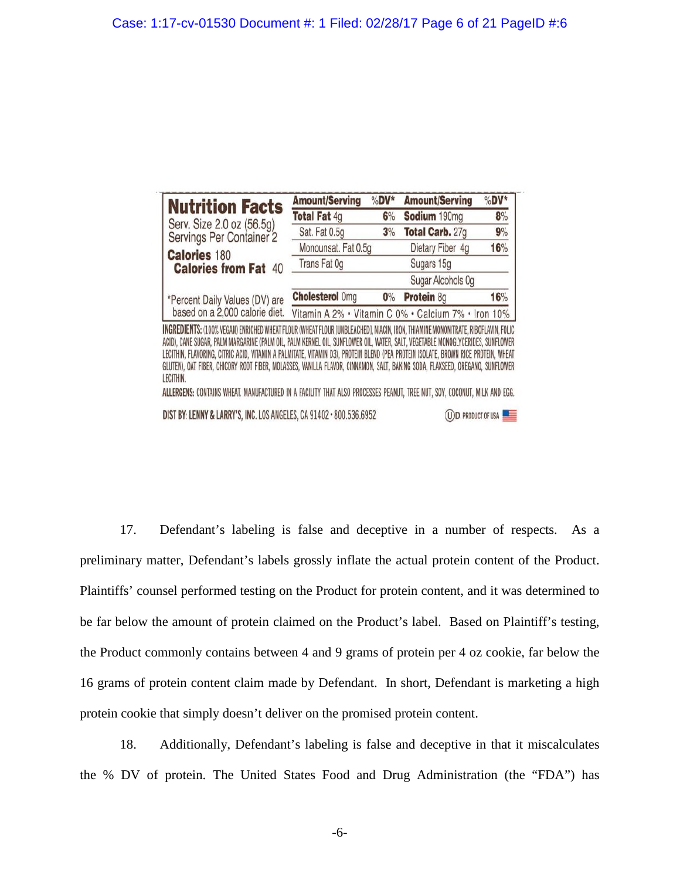| <b>Nutrition Facts</b>                                                                                                                                                                                                                                           | <b>Amount/Serving</b>  | $%DV*$ | <b>Amount/Serving</b>                               | %DV* |
|------------------------------------------------------------------------------------------------------------------------------------------------------------------------------------------------------------------------------------------------------------------|------------------------|--------|-----------------------------------------------------|------|
|                                                                                                                                                                                                                                                                  | <b>Total Fat 4g</b>    | 6%     | Sodium 190mg                                        | 8%   |
| Serv. Size 2.0 oz (56.5g)<br>Servings Per Container 2                                                                                                                                                                                                            | Sat. Fat 0.5g          | 3%     | Total Carb. 27g                                     | 9%   |
| <b>Calories 180</b>                                                                                                                                                                                                                                              | Monounsat. Fat 0.5g    |        | Dietary Fiber 4g                                    | 16%  |
| <b>Calories from Fat 40</b>                                                                                                                                                                                                                                      | Trans Fat 0g           |        | Sugars 15g                                          |      |
|                                                                                                                                                                                                                                                                  |                        |        | Sugar Alcohols 0g                                   |      |
| *Percent Daily Values (DV) are<br>based on a 2,000 calorie diet.                                                                                                                                                                                                 | <b>Cholesterol Omg</b> | 0%     | Protein 8g                                          | 16%  |
|                                                                                                                                                                                                                                                                  |                        |        | Vitamin A 2% . Vitamin C 0% . Calcium 7% . Iron 10% |      |
| INGREDIENTS: (100% VEGAN) ENRICHED WHEAT FLOUR (WHEAT FLOUR [UNBLEACHED], NIACIN, IRON, THIAMINE MONONITRATE, RIBOFLAVIN, FOLIC<br>ACID), CANE SUGAR, PALM MARGARINE (PALM OIL, PALM KERNEL OIL, SUNFLOWER OIL, WATER, SALT, VEGETABLE MONOGLYCERIDES, SUNFLOWER |                        |        |                                                     |      |

LECITHIN, FLAVORING, CITRIC ACID, VITAMIN A PALMITATE, VITAMIN D3), PROTEIN BLEND (PEA PROTEIN ISOLATE, BROWN RICE PROTEIN, WHEAT GLUTEN), OAT FIBER, CHICORY ROOT FIBER, MOLASSES, VANILLA FLAVOR, CINNAMON, SALT, BAKING SODA, FLAXSEED, OREGANO, SUNFLOWER LECITHIN. ALLERGENS: CONTAINS WHEAT. MANUFACTURED IN A FACILITY THAT ALSO PROCESSES PEANUT, TREE NUT, SOY, COCONUT, MILK AND EGG.

(U) D PRODUCT OF USA

DIST BY: LENNY & LARRY'S, INC. LOS ANGELES, CA 91402 · 800.536.6952

17. Defendant's labeling is false and deceptive in a number of respects. As a preliminary matter, Defendant's labels grossly inflate the actual protein content of the Product. Plaintiffs' counsel performed testing on the Product for protein content, and it was determined to be far below the amount of protein claimed on the Product's label. Based on Plaintiff's testing, the Product commonly contains between 4 and 9 grams of protein per 4 oz cookie, far below the 16 grams of protein content claim made by Defendant. In short, Defendant is marketing a high protein cookie that simply doesn't deliver on the promised protein content.

18. Additionally, Defendant's labeling is false and deceptive in that it miscalculates the % DV of protein. The United States Food and Drug Administration (the "FDA") has

-6-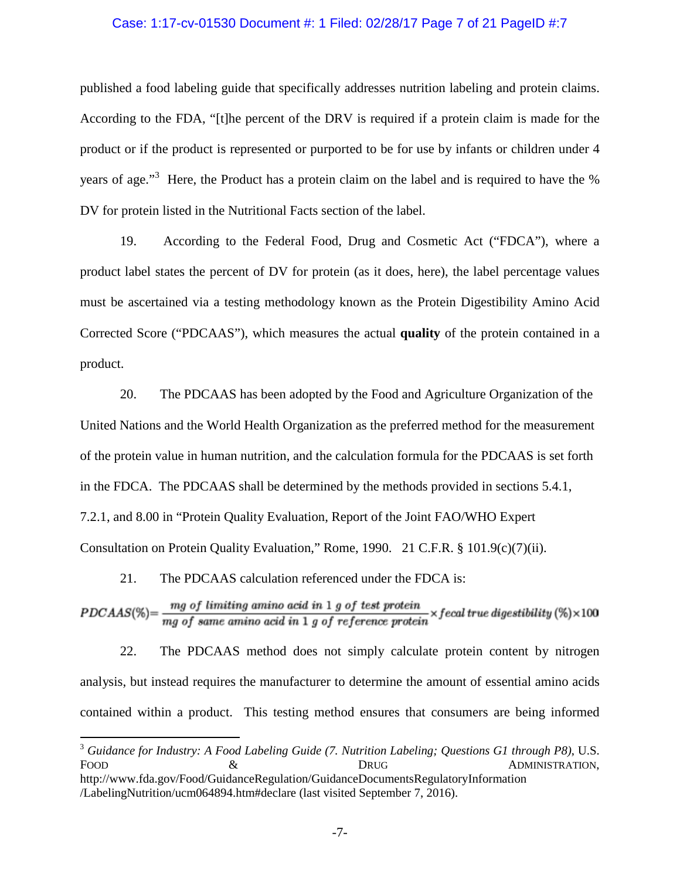### Case: 1:17-cv-01530 Document #: 1 Filed: 02/28/17 Page 7 of 21 PageID #:7

published a food labeling guide that specifically addresses nutrition labeling and protein claims. According to the FDA, "[t]he percent of the DRV is required if a protein claim is made for the product or if the product is represented or purported to be for use by infants or children under 4 years of age."<sup>3</sup> Here, the Product has a protein claim on the label and is required to have the % DV for protein listed in the Nutritional Facts section of the label.

19. According to the Federal Food, Drug and Cosmetic Act ("FDCA"), where a product label states the percent of DV for protein (as it does, here), the label percentage values must be ascertained via a testing methodology known as the Protein Digestibility Amino Acid Corrected Score ("PDCAAS"), which measures the actual **quality** of the protein contained in a product.

20. The PDCAAS has been adopted by the Food and Agriculture Organization of the United Nations and the World Health Organization as the preferred method for the measurement of the protein value in human nutrition, and the calculation formula for the PDCAAS is set forth in the FDCA. The PDCAAS shall be determined by the methods provided in sections 5.4.1, 7.2.1, and 8.00 in "Protein Quality Evaluation, Report of the Joint FAO/WHO Expert Consultation on Protein Quality Evaluation," Rome, 1990. 21 C.F.R. § 101.9(c)(7)(ii).

21. The PDCAAS calculation referenced under the FDCA is:

 $PDCAAS(\%) = \frac{mg \space of \space limiting \space amino \space acid \space in \space 1 \space g \space of \space test \space protein} \times \text{f} \space each \space true \space digital \space (%) \times 100$ 

22. The PDCAAS method does not simply calculate protein content by nitrogen analysis, but instead requires the manufacturer to determine the amount of essential amino acids contained within a product. This testing method ensures that consumers are being informed

<sup>3</sup> *Guidance for Industry: A Food Labeling Guide (7. Nutrition Labeling; Questions G1 through P8)*, U.S. FOOD  $\&$  DRUG ADMINISTRATION,

http://www.fda.gov/Food/GuidanceRegulation/GuidanceDocumentsRegulatoryInformation /LabelingNutrition/ucm064894.htm#declare (last visited September 7, 2016).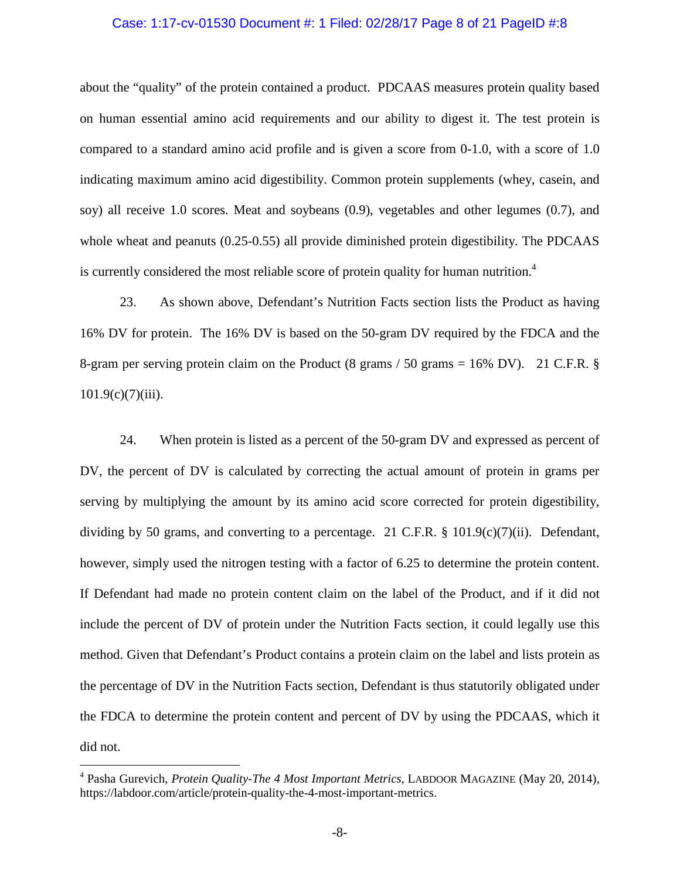### Case: 1:17-cv-01530 Document #: 1 Filed: 02/28/17 Page 8 of 21 PageID #:8

about the "quality" of the protein contained a product. PDCAAS measures protein quality based on human essential amino acid requirements and our ability to digest it. The test protein is compared to a standard amino acid profile and is given a score from 0-1.0, with a score of 1.0 indicating maximum amino acid digestibility. Common protein supplements (whey, casein, and soy) all receive 1.0 scores. Meat and soybeans (0.9), vegetables and other legumes (0.7), and whole wheat and peanuts (0.25-0.55) all provide diminished protein digestibility. The PDCAAS is currently considered the most reliable score of protein quality for human nutrition.<sup>4</sup>

23. As shown above, Defendant's Nutrition Facts section lists the Product as having 16% DV for protein. The 16% DV is based on the 50-gram DV required by the FDCA and the 8-gram per serving protein claim on the Product (8 grams / 50 grams =  $16\%$  DV). 21 C.F.R. §  $101.9(c)(7)(iii)$ .

24. When protein is listed as a percent of the 50-gram DV and expressed as percent of DV, the percent of DV is calculated by correcting the actual amount of protein in grams per serving by multiplying the amount by its amino acid score corrected for protein digestibility, dividing by 50 grams, and converting to a percentage. 21 C.F.R. § 101.9(c)(7)(ii). Defendant, however, simply used the nitrogen testing with a factor of 6.25 to determine the protein content. If Defendant had made no protein content claim on the label of the Product, and if it did not include the percent of DV of protein under the Nutrition Facts section, it could legally use this method. Given that Defendant's Product contains a protein claim on the label and lists protein as the percentage of DV in the Nutrition Facts section, Defendant is thus statutorily obligated under the FDCA to determine the protein content and percent of DV by using the PDCAAS, which it did not.

<sup>4</sup> Pasha Gurevich, *Protein Quality-The 4 Most Important Metrics*, LABDOOR MAGAZINE (May 20, 2014), https://labdoor.com/article/protein-quality-the-4-most-important-metrics.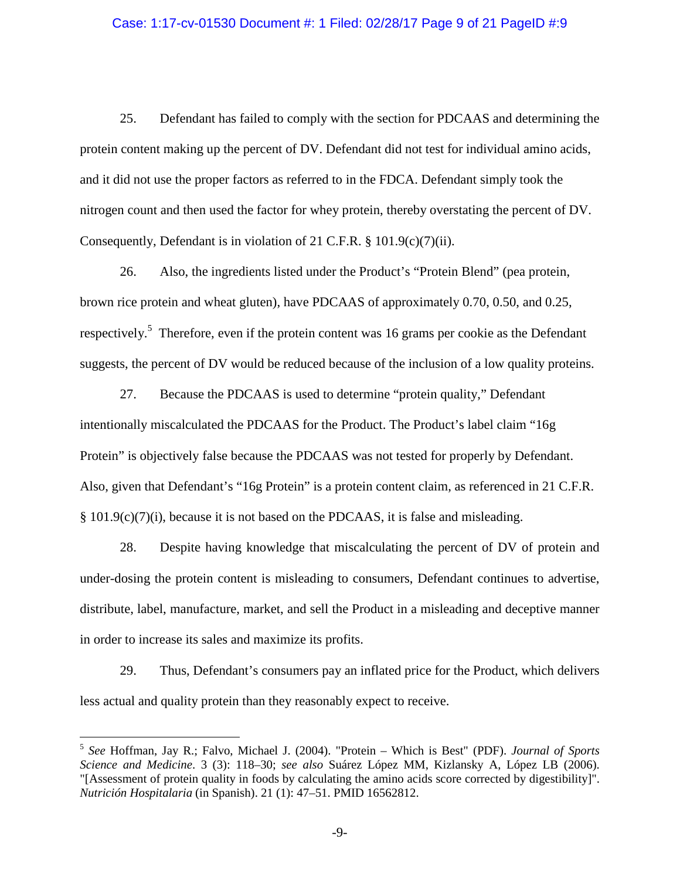### Case: 1:17-cv-01530 Document #: 1 Filed: 02/28/17 Page 9 of 21 PageID #:9

25. Defendant has failed to comply with the section for PDCAAS and determining the protein content making up the percent of DV. Defendant did not test for individual amino acids, and it did not use the proper factors as referred to in the FDCA. Defendant simply took the nitrogen count and then used the factor for whey protein, thereby overstating the percent of DV. Consequently, Defendant is in violation of 21 C.F.R. § 101.9(c)(7)(ii).

26. Also, the ingredients listed under the Product's "Protein Blend" (pea protein, brown rice protein and wheat gluten), have PDCAAS of approximately 0.70, 0.50, and 0.25, respectively.<sup>5</sup> Therefore, even if the protein content was 16 grams per cookie as the Defendant suggests, the percent of DV would be reduced because of the inclusion of a low quality proteins.

27. Because the PDCAAS is used to determine "protein quality," Defendant intentionally miscalculated the PDCAAS for the Product. The Product's label claim "16g Protein" is objectively false because the PDCAAS was not tested for properly by Defendant. Also, given that Defendant's "16g Protein" is a protein content claim, as referenced in 21 C.F.R. § 101.9(c)(7)(i), because it is not based on the PDCAAS, it is false and misleading.

28. Despite having knowledge that miscalculating the percent of DV of protein and under-dosing the protein content is misleading to consumers, Defendant continues to advertise, distribute, label, manufacture, market, and sell the Product in a misleading and deceptive manner in order to increase its sales and maximize its profits.

29. Thus, Defendant's consumers pay an inflated price for the Product, which delivers less actual and quality protein than they reasonably expect to receive.

<sup>5</sup> *See* Hoffman, Jay R.; Falvo, Michael J. (2004). "Protein – Which is Best" (PDF). *Journal of Sports Science and Medicine*. 3 (3): 118–30; *see also* Suárez López MM, Kizlansky A, López LB (2006). "[Assessment of protein quality in foods by calculating the amino acids score corrected by digestibility]". *Nutrición Hospitalaria* (in Spanish). 21 (1): 47–51. PMID 16562812.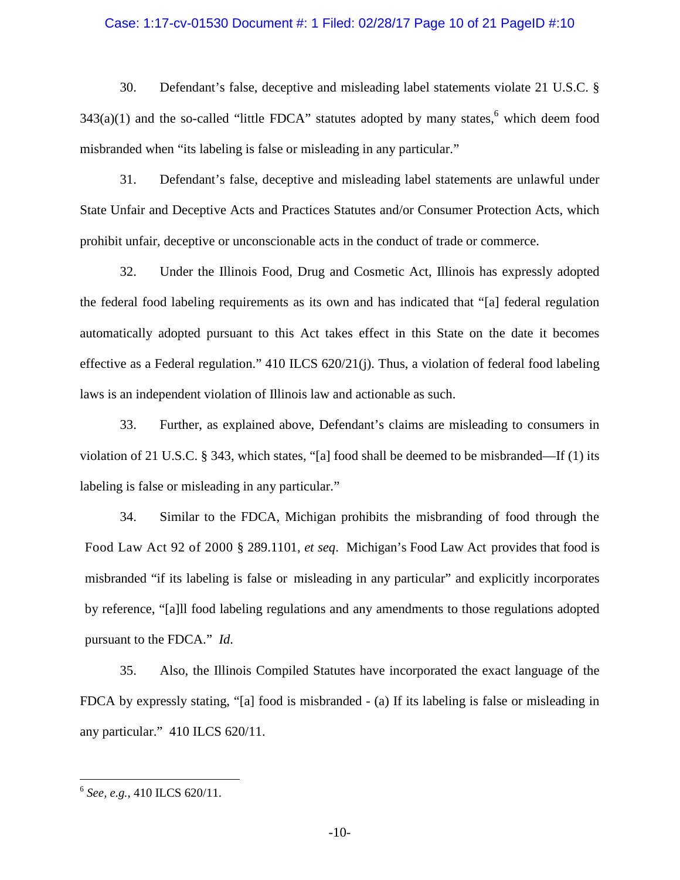### Case: 1:17-cv-01530 Document #: 1 Filed: 02/28/17 Page 10 of 21 PageID #:10

30. Defendant's false, deceptive and misleading label statements violate 21 U.S.C. §  $343(a)(1)$  and the so-called "little FDCA" statutes adopted by many states,<sup>6</sup> which deem food misbranded when "its labeling is false or misleading in any particular."

31. Defendant's false, deceptive and misleading label statements are unlawful under State Unfair and Deceptive Acts and Practices Statutes and/or Consumer Protection Acts, which prohibit unfair, deceptive or unconscionable acts in the conduct of trade or commerce.

32. Under the Illinois Food, Drug and Cosmetic Act, Illinois has expressly adopted the federal food labeling requirements as its own and has indicated that "[a] federal regulation automatically adopted pursuant to this Act takes effect in this State on the date it becomes effective as a Federal regulation." 410 ILCS 620/21(j). Thus, a violation of federal food labeling laws is an independent violation of Illinois law and actionable as such.

33. Further, as explained above, Defendant's claims are misleading to consumers in violation of 21 U.S.C. § 343, which states, "[a] food shall be deemed to be misbranded—If (1) its labeling is false or misleading in any particular."

34. Similar to the FDCA, Michigan prohibits the misbranding of food through the Food Law Act 92 of 2000 § 289.1101, *et seq*. Michigan's Food Law Act provides that food is misbranded "if its labeling is false or misleading in any particular" and explicitly incorporates by reference, "[a]ll food labeling regulations and any amendments to those regulations adopted pursuant to the FDCA." *Id*.

35. Also, the Illinois Compiled Statutes have incorporated the exact language of the FDCA by expressly stating, "[a] food is misbranded - (a) If its labeling is false or misleading in any particular." 410 ILCS 620/11.

<sup>6</sup> *See, e.g.*, 410 ILCS 620/11.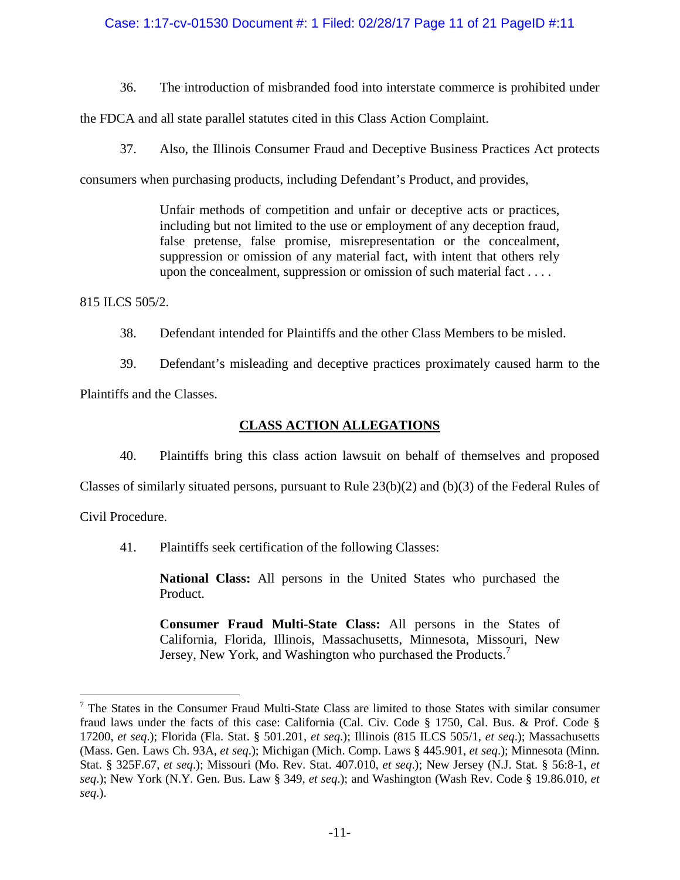## Case: 1:17-cv-01530 Document #: 1 Filed: 02/28/17 Page 11 of 21 PageID #:11

36. The introduction of misbranded food into interstate commerce is prohibited under

the FDCA and all state parallel statutes cited in this Class Action Complaint.

37. Also, the Illinois Consumer Fraud and Deceptive Business Practices Act protects

consumers when purchasing products, including Defendant's Product, and provides,

Unfair methods of competition and unfair or deceptive acts or practices, including but not limited to the use or employment of any deception fraud, false pretense, false promise, misrepresentation or the concealment, suppression or omission of any material fact, with intent that others rely upon the concealment, suppression or omission of such material fact . . . .

815 ILCS 505/2.

38. Defendant intended for Plaintiffs and the other Class Members to be misled.

39. Defendant's misleading and deceptive practices proximately caused harm to the Plaintiffs and the Classes.

# **CLASS ACTION ALLEGATIONS**

40. Plaintiffs bring this class action lawsuit on behalf of themselves and proposed

Classes of similarly situated persons, pursuant to Rule 23(b)(2) and (b)(3) of the Federal Rules of

Civil Procedure.

41. Plaintiffs seek certification of the following Classes:

**National Class:** All persons in the United States who purchased the Product.

**Consumer Fraud Multi-State Class:** All persons in the States of California, Florida, Illinois, Massachusetts, Minnesota, Missouri, New Jersey, New York, and Washington who purchased the Products.<sup>7</sup>

<sup>7</sup> The States in the Consumer Fraud Multi-State Class are limited to those States with similar consumer fraud laws under the facts of this case: California (Cal. Civ. Code § 1750, Cal. Bus. & Prof. Code § 17200, *et seq*.); Florida (Fla. Stat. § 501.201, *et seq*.); Illinois (815 ILCS 505/1, *et seq*.); Massachusetts (Mass. Gen. Laws Ch. 93A, *et seq*.); Michigan (Mich. Comp. Laws § 445.901, *et seq*.); Minnesota (Minn. Stat. § 325F.67, *et seq*.); Missouri (Mo. Rev. Stat. 407.010, *et seq*.); New Jersey (N.J. Stat. § 56:8-1, *et seq*.); New York (N.Y. Gen. Bus. Law § 349, *et seq*.); and Washington (Wash Rev. Code § 19.86.010, *et seq*.).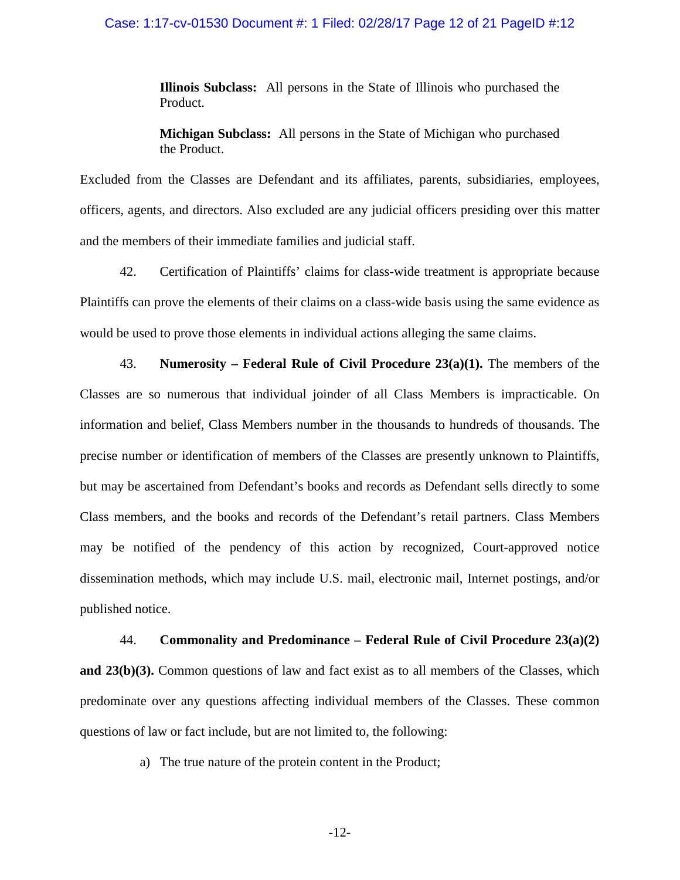### Case: 1:17-cv-01530 Document #: 1 Filed: 02/28/17 Page 12 of 21 PageID #:12

**Illinois Subclass:** All persons in the State of Illinois who purchased the Product.

**Michigan Subclass:** All persons in the State of Michigan who purchased the Product.

Excluded from the Classes are Defendant and its affiliates, parents, subsidiaries, employees, officers, agents, and directors. Also excluded are any judicial officers presiding over this matter and the members of their immediate families and judicial staff.

42. Certification of Plaintiffs' claims for class-wide treatment is appropriate because Plaintiffs can prove the elements of their claims on a class-wide basis using the same evidence as would be used to prove those elements in individual actions alleging the same claims.

43. **Numerosity – Federal Rule of Civil Procedure 23(a)(1).** The members of the Classes are so numerous that individual joinder of all Class Members is impracticable. On information and belief, Class Members number in the thousands to hundreds of thousands. The precise number or identification of members of the Classes are presently unknown to Plaintiffs, but may be ascertained from Defendant's books and records as Defendant sells directly to some Class members, and the books and records of the Defendant's retail partners. Class Members may be notified of the pendency of this action by recognized, Court-approved notice dissemination methods, which may include U.S. mail, electronic mail, Internet postings, and/or published notice.

44. **Commonality and Predominance – Federal Rule of Civil Procedure 23(a)(2) and 23(b)(3).** Common questions of law and fact exist as to all members of the Classes, which predominate over any questions affecting individual members of the Classes. These common questions of law or fact include, but are not limited to, the following:

a) The true nature of the protein content in the Product;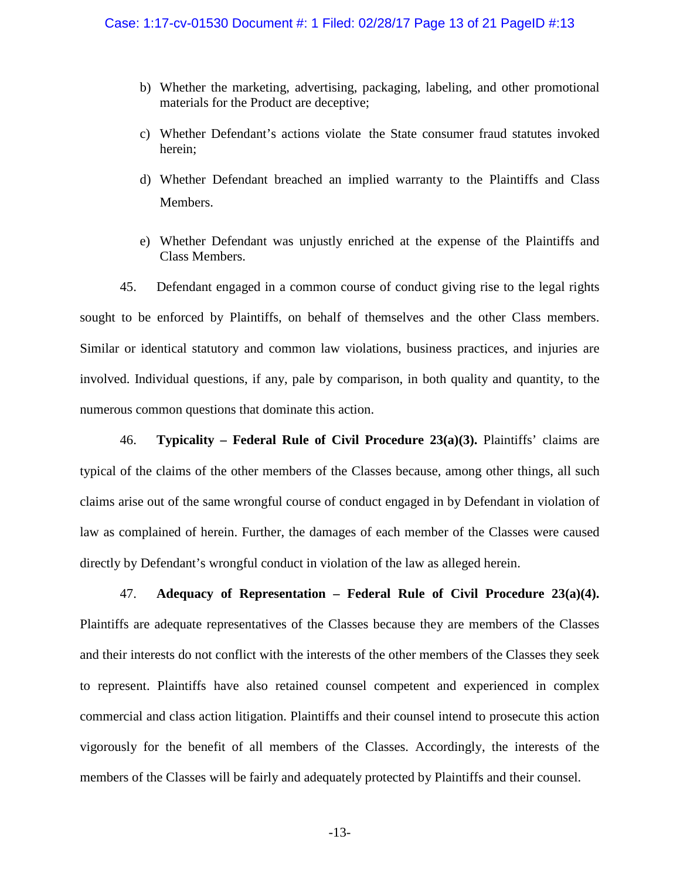- b) Whether the marketing, advertising, packaging, labeling, and other promotional materials for the Product are deceptive;
- c) Whether Defendant's actions violate the State consumer fraud statutes invoked herein;
- d) Whether Defendant breached an implied warranty to the Plaintiffs and Class Members.
- e) Whether Defendant was unjustly enriched at the expense of the Plaintiffs and Class Members.

45. Defendant engaged in a common course of conduct giving rise to the legal rights sought to be enforced by Plaintiffs, on behalf of themselves and the other Class members. Similar or identical statutory and common law violations, business practices, and injuries are involved. Individual questions, if any, pale by comparison, in both quality and quantity, to the numerous common questions that dominate this action.

46. **Typicality – Federal Rule of Civil Procedure 23(a)(3).** Plaintiffs' claims are typical of the claims of the other members of the Classes because, among other things, all such claims arise out of the same wrongful course of conduct engaged in by Defendant in violation of law as complained of herein. Further, the damages of each member of the Classes were caused directly by Defendant's wrongful conduct in violation of the law as alleged herein.

47. **Adequacy of Representation – Federal Rule of Civil Procedure 23(a)(4).** Plaintiffs are adequate representatives of the Classes because they are members of the Classes and their interests do not conflict with the interests of the other members of the Classes they seek to represent. Plaintiffs have also retained counsel competent and experienced in complex commercial and class action litigation. Plaintiffs and their counsel intend to prosecute this action vigorously for the benefit of all members of the Classes. Accordingly, the interests of the members of the Classes will be fairly and adequately protected by Plaintiffs and their counsel.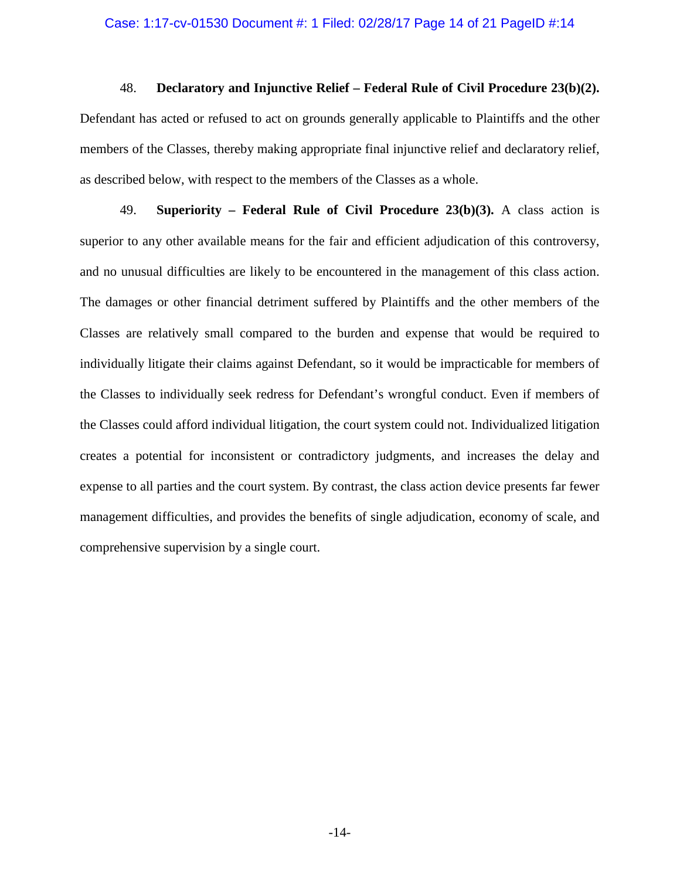### Case: 1:17-cv-01530 Document #: 1 Filed: 02/28/17 Page 14 of 21 PageID #:14

48. **Declaratory and Injunctive Relief – Federal Rule of Civil Procedure 23(b)(2).** Defendant has acted or refused to act on grounds generally applicable to Plaintiffs and the other members of the Classes, thereby making appropriate final injunctive relief and declaratory relief, as described below, with respect to the members of the Classes as a whole.

49. **Superiority – Federal Rule of Civil Procedure 23(b)(3).** A class action is superior to any other available means for the fair and efficient adjudication of this controversy, and no unusual difficulties are likely to be encountered in the management of this class action. The damages or other financial detriment suffered by Plaintiffs and the other members of the Classes are relatively small compared to the burden and expense that would be required to individually litigate their claims against Defendant, so it would be impracticable for members of the Classes to individually seek redress for Defendant's wrongful conduct. Even if members of the Classes could afford individual litigation, the court system could not. Individualized litigation creates a potential for inconsistent or contradictory judgments, and increases the delay and expense to all parties and the court system. By contrast, the class action device presents far fewer management difficulties, and provides the benefits of single adjudication, economy of scale, and comprehensive supervision by a single court.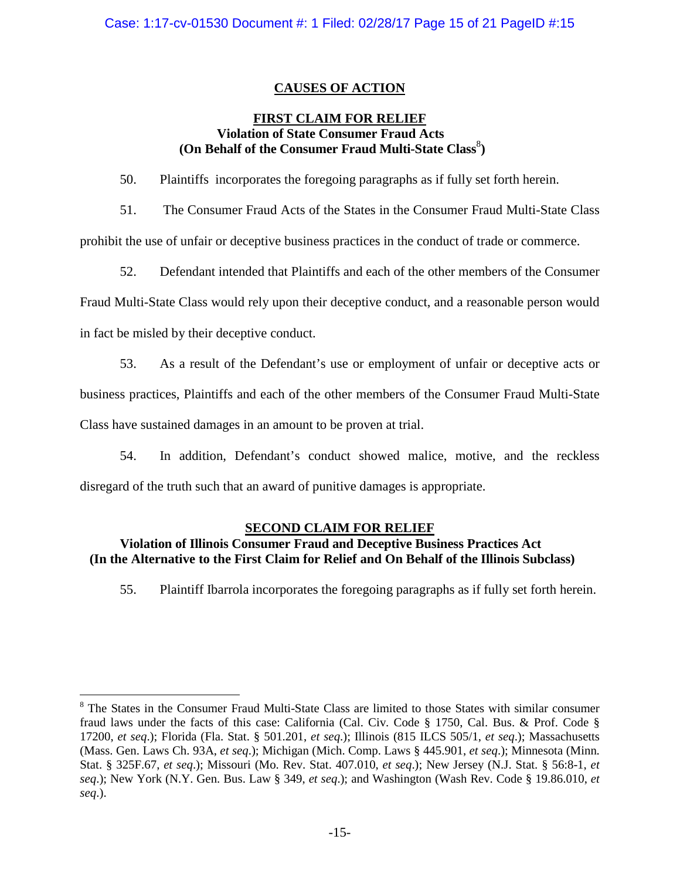# **CAUSES OF ACTION**

## **FIRST CLAIM FOR RELIEF Violation of State Consumer Fraud Acts** (On Behalf of the Consumer Fraud Multi-State Class<sup>8</sup>)

50. Plaintiffs incorporates the foregoing paragraphs as if fully set forth herein.

51. The Consumer Fraud Acts of the States in the Consumer Fraud Multi-State Class prohibit the use of unfair or deceptive business practices in the conduct of trade or commerce.

52. Defendant intended that Plaintiffs and each of the other members of the Consumer

Fraud Multi-State Class would rely upon their deceptive conduct, and a reasonable person would

in fact be misled by their deceptive conduct.

53. As a result of the Defendant's use or employment of unfair or deceptive acts or

business practices, Plaintiffs and each of the other members of the Consumer Fraud Multi-State

Class have sustained damages in an amount to be proven at trial.

54. In addition, Defendant's conduct showed malice, motive, and the reckless disregard of the truth such that an award of punitive damages is appropriate.

## **SECOND CLAIM FOR RELIEF**

## **Violation of Illinois Consumer Fraud and Deceptive Business Practices Act (In the Alternative to the First Claim for Relief and On Behalf of the Illinois Subclass)**

55. Plaintiff Ibarrola incorporates the foregoing paragraphs as if fully set forth herein.

<sup>&</sup>lt;sup>8</sup> The States in the Consumer Fraud Multi-State Class are limited to those States with similar consumer fraud laws under the facts of this case: California (Cal. Civ. Code § 1750, Cal. Bus. & Prof. Code § 17200, *et seq*.); Florida (Fla. Stat. § 501.201, *et seq*.); Illinois (815 ILCS 505/1, *et seq*.); Massachusetts (Mass. Gen. Laws Ch. 93A, *et seq*.); Michigan (Mich. Comp. Laws § 445.901, *et seq*.); Minnesota (Minn. Stat. § 325F.67, *et seq*.); Missouri (Mo. Rev. Stat. 407.010, *et seq*.); New Jersey (N.J. Stat. § 56:8-1, *et seq*.); New York (N.Y. Gen. Bus. Law § 349, *et seq*.); and Washington (Wash Rev. Code § 19.86.010, *et seq*.).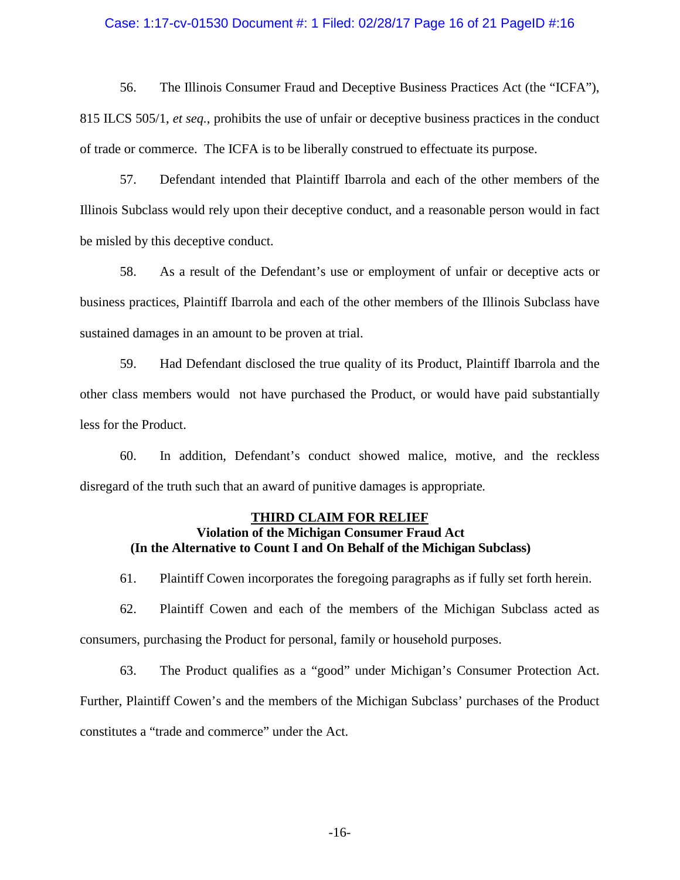#### Case: 1:17-cv-01530 Document #: 1 Filed: 02/28/17 Page 16 of 21 PageID #:16

56. The Illinois Consumer Fraud and Deceptive Business Practices Act (the "ICFA"), 815 ILCS 505/1, *et seq.*, prohibits the use of unfair or deceptive business practices in the conduct of trade or commerce. The ICFA is to be liberally construed to effectuate its purpose.

57. Defendant intended that Plaintiff Ibarrola and each of the other members of the Illinois Subclass would rely upon their deceptive conduct, and a reasonable person would in fact be misled by this deceptive conduct.

58. As a result of the Defendant's use or employment of unfair or deceptive acts or business practices, Plaintiff Ibarrola and each of the other members of the Illinois Subclass have sustained damages in an amount to be proven at trial.

59. Had Defendant disclosed the true quality of its Product, Plaintiff Ibarrola and the other class members would not have purchased the Product, or would have paid substantially less for the Product.

60. In addition, Defendant's conduct showed malice, motive, and the reckless disregard of the truth such that an award of punitive damages is appropriate*.*

# **THIRD CLAIM FOR RELIEF**

## **Violation of the Michigan Consumer Fraud Act (In the Alternative to Count I and On Behalf of the Michigan Subclass)**

61. Plaintiff Cowen incorporates the foregoing paragraphs as if fully set forth herein.

62. Plaintiff Cowen and each of the members of the Michigan Subclass acted as consumers, purchasing the Product for personal, family or household purposes.

63. The Product qualifies as a "good" under Michigan's Consumer Protection Act. Further, Plaintiff Cowen's and the members of the Michigan Subclass' purchases of the Product constitutes a "trade and commerce" under the Act.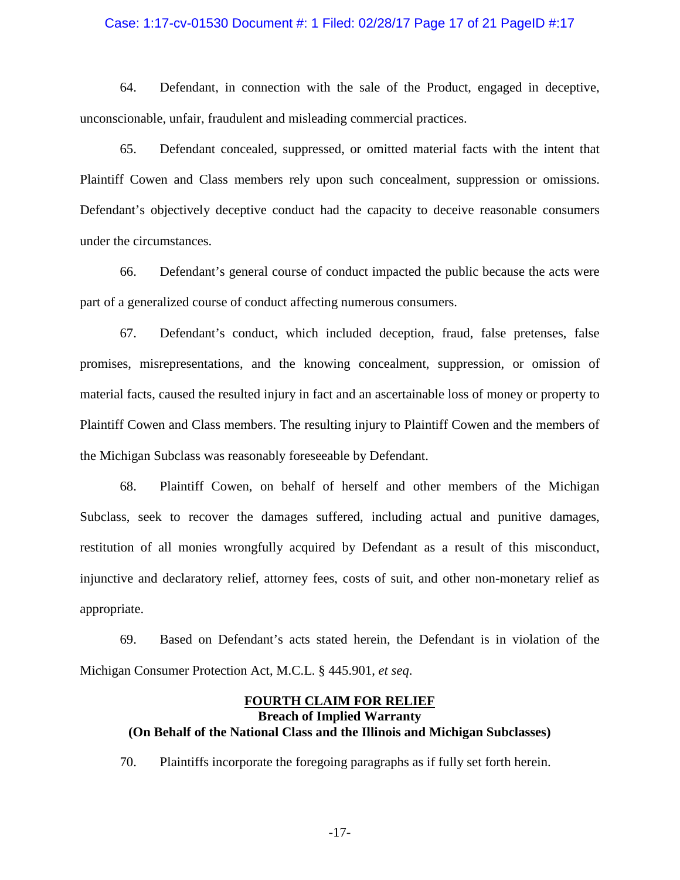### Case: 1:17-cv-01530 Document #: 1 Filed: 02/28/17 Page 17 of 21 PageID #:17

64. Defendant, in connection with the sale of the Product, engaged in deceptive, unconscionable, unfair, fraudulent and misleading commercial practices.

65. Defendant concealed, suppressed, or omitted material facts with the intent that Plaintiff Cowen and Class members rely upon such concealment, suppression or omissions. Defendant's objectively deceptive conduct had the capacity to deceive reasonable consumers under the circumstances.

66. Defendant's general course of conduct impacted the public because the acts were part of a generalized course of conduct affecting numerous consumers.

67. Defendant's conduct, which included deception, fraud, false pretenses, false promises, misrepresentations, and the knowing concealment, suppression, or omission of material facts, caused the resulted injury in fact and an ascertainable loss of money or property to Plaintiff Cowen and Class members. The resulting injury to Plaintiff Cowen and the members of the Michigan Subclass was reasonably foreseeable by Defendant.

68. Plaintiff Cowen, on behalf of herself and other members of the Michigan Subclass, seek to recover the damages suffered, including actual and punitive damages, restitution of all monies wrongfully acquired by Defendant as a result of this misconduct, injunctive and declaratory relief, attorney fees, costs of suit, and other non-monetary relief as appropriate.

69. Based on Defendant's acts stated herein, the Defendant is in violation of the Michigan Consumer Protection Act, M.C.L. § 445.901, *et seq*.

### **FOURTH CLAIM FOR RELIEF Breach of Implied Warranty (On Behalf of the National Class and the Illinois and Michigan Subclasses)**

70. Plaintiffs incorporate the foregoing paragraphs as if fully set forth herein.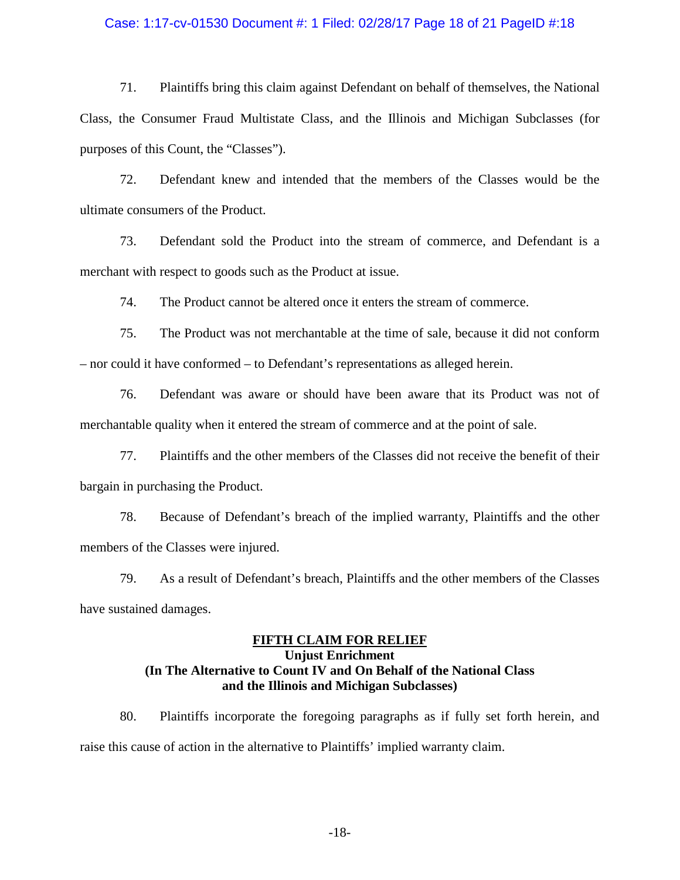### Case: 1:17-cv-01530 Document #: 1 Filed: 02/28/17 Page 18 of 21 PageID #:18

71. Plaintiffs bring this claim against Defendant on behalf of themselves, the National Class, the Consumer Fraud Multistate Class, and the Illinois and Michigan Subclasses (for purposes of this Count, the "Classes").

72. Defendant knew and intended that the members of the Classes would be the ultimate consumers of the Product.

73. Defendant sold the Product into the stream of commerce, and Defendant is a merchant with respect to goods such as the Product at issue.

74. The Product cannot be altered once it enters the stream of commerce.

75. The Product was not merchantable at the time of sale, because it did not conform – nor could it have conformed – to Defendant's representations as alleged herein.

76. Defendant was aware or should have been aware that its Product was not of merchantable quality when it entered the stream of commerce and at the point of sale.

77. Plaintiffs and the other members of the Classes did not receive the benefit of their bargain in purchasing the Product.

78. Because of Defendant's breach of the implied warranty, Plaintiffs and the other members of the Classes were injured.

79. As a result of Defendant's breach, Plaintiffs and the other members of the Classes have sustained damages.

## **FIFTH CLAIM FOR RELIEF Unjust Enrichment (In The Alternative to Count IV and On Behalf of the National Class and the Illinois and Michigan Subclasses)**

80. Plaintiffs incorporate the foregoing paragraphs as if fully set forth herein, and raise this cause of action in the alternative to Plaintiffs' implied warranty claim.

-18-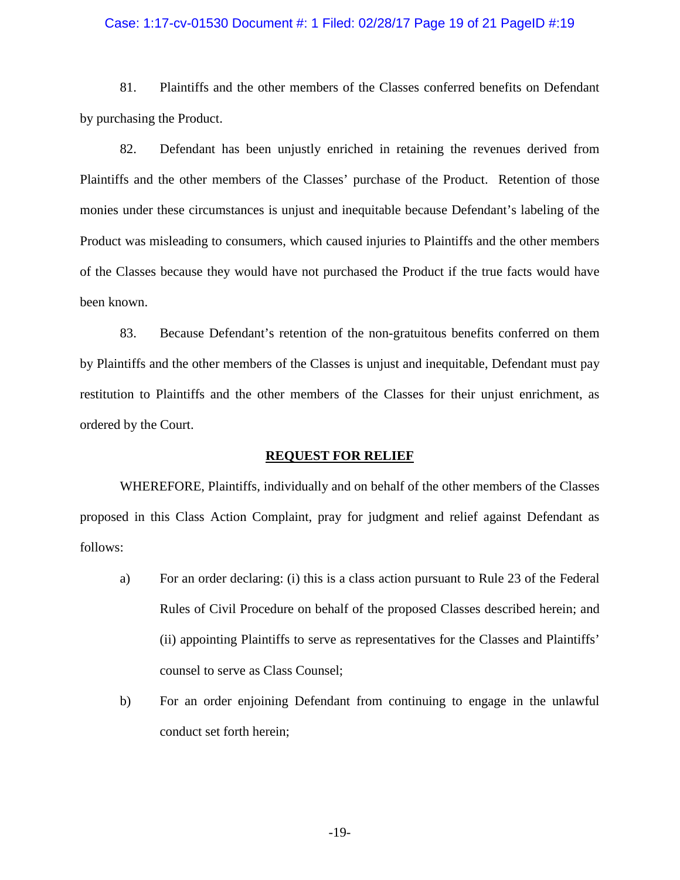### Case: 1:17-cv-01530 Document #: 1 Filed: 02/28/17 Page 19 of 21 PageID #:19

81. Plaintiffs and the other members of the Classes conferred benefits on Defendant by purchasing the Product.

82. Defendant has been unjustly enriched in retaining the revenues derived from Plaintiffs and the other members of the Classes' purchase of the Product. Retention of those monies under these circumstances is unjust and inequitable because Defendant's labeling of the Product was misleading to consumers, which caused injuries to Plaintiffs and the other members of the Classes because they would have not purchased the Product if the true facts would have been known.

83. Because Defendant's retention of the non-gratuitous benefits conferred on them by Plaintiffs and the other members of the Classes is unjust and inequitable, Defendant must pay restitution to Plaintiffs and the other members of the Classes for their unjust enrichment, as ordered by the Court.

### **REQUEST FOR RELIEF**

WHEREFORE, Plaintiffs, individually and on behalf of the other members of the Classes proposed in this Class Action Complaint, pray for judgment and relief against Defendant as follows:

- a) For an order declaring: (i) this is a class action pursuant to Rule 23 of the Federal Rules of Civil Procedure on behalf of the proposed Classes described herein; and (ii) appointing Plaintiffs to serve as representatives for the Classes and Plaintiffs' counsel to serve as Class Counsel;
- b) For an order enjoining Defendant from continuing to engage in the unlawful conduct set forth herein;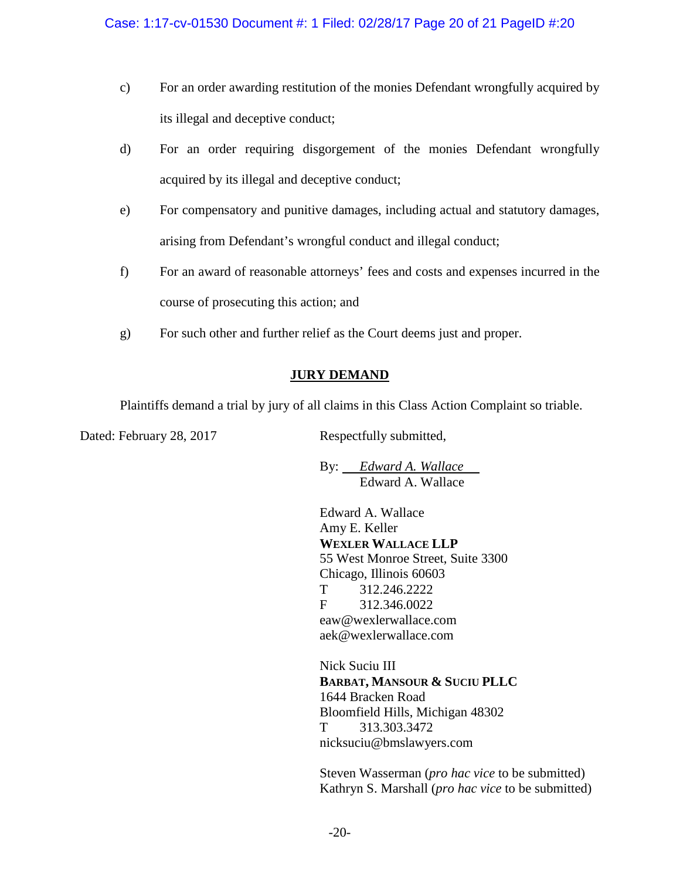- c) For an order awarding restitution of the monies Defendant wrongfully acquired by its illegal and deceptive conduct;
- d) For an order requiring disgorgement of the monies Defendant wrongfully acquired by its illegal and deceptive conduct;
- e) For compensatory and punitive damages, including actual and statutory damages, arising from Defendant's wrongful conduct and illegal conduct;
- f) For an award of reasonable attorneys' fees and costs and expenses incurred in the course of prosecuting this action; and
- g) For such other and further relief as the Court deems just and proper.

# **JURY DEMAND**

Plaintiffs demand a trial by jury of all claims in this Class Action Complaint so triable.

Dated: February 28, 2017 Respectfully submitted,

By: *Edward A. Wallace* Edward A. Wallace

Edward A. Wallace Amy E. Keller **WEXLER WALLACE LLP** 55 West Monroe Street, Suite 3300 Chicago, Illinois 60603 T 312.246.2222 F 312.346.0022 eaw@wexlerwallace.com aek@wexlerwallace.com

Nick Suciu III **BARBAT, MANSOUR & SUCIU PLLC** 1644 Bracken Road Bloomfield Hills, Michigan 48302 T 313.303.3472 nicksuciu@bmslawyers.com

Steven Wasserman (*pro hac vice* to be submitted) Kathryn S. Marshall (*pro hac vice* to be submitted)